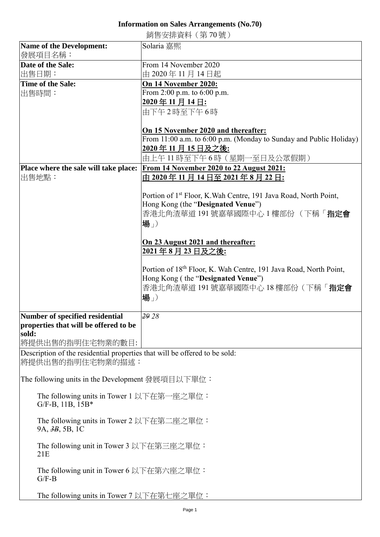## **Information on Sales Arrangements (No.70)**

銷售安排資料(第 70 號)

|                                                                            | 奶ロメガ貝(T \スマ 'ソ ル)」                                                            |
|----------------------------------------------------------------------------|-------------------------------------------------------------------------------|
| <b>Name of the Development:</b><br>發展項目名稱:                                 | Solaria 嘉熙                                                                    |
| Date of the Sale:                                                          | From 14 November 2020                                                         |
| 出售日期:                                                                      | 由 2020年11月14日起                                                                |
|                                                                            |                                                                               |
| <b>Time of the Sale:</b>                                                   | On 14 November 2020:                                                          |
| 出售時間:                                                                      | From 2:00 p.m. to 6:00 p.m.                                                   |
|                                                                            | 2020年11月14日:                                                                  |
|                                                                            | 由下午2時至下午6時                                                                    |
|                                                                            |                                                                               |
|                                                                            |                                                                               |
|                                                                            | On 15 November 2020 and thereafter:                                           |
|                                                                            | From 11:00 a.m. to 6:00 p.m. (Monday to Sunday and Public Holiday)            |
|                                                                            | 2020年11月15日及之後:                                                               |
|                                                                            | 由上午 11 時至下午 6 時(星期一至日及公眾假期)                                                   |
|                                                                            |                                                                               |
| Place where the sale will take place:                                      | From 14 November 2020 to 22 August 2021:                                      |
| 出售地點:                                                                      | <u>由 2020 年 11 月 14 日至 2021 年 8 月 22 日:</u>                                   |
|                                                                            |                                                                               |
|                                                                            | Portion of 1 <sup>st</sup> Floor, K. Wah Centre, 191 Java Road, North Point,  |
|                                                                            | Hong Kong (the "Designated Venue")                                            |
|                                                                            |                                                                               |
|                                                                            | 香港北角渣華道 191號嘉華國際中心 1樓部份 (下稱「指定會                                               |
|                                                                            | 場」                                                                            |
|                                                                            |                                                                               |
|                                                                            | On 23 August 2021 and thereafter:                                             |
|                                                                            |                                                                               |
|                                                                            | 2021年8月23日及之後:                                                                |
|                                                                            |                                                                               |
|                                                                            | Portion of 18 <sup>th</sup> Floor, K. Wah Centre, 191 Java Road, North Point, |
|                                                                            | Hong Kong (the "Designated Venue")                                            |
|                                                                            | 香港北角渣華道 191號嘉華國際中心 18樓部份 (下稱「指定會                                              |
|                                                                            |                                                                               |
|                                                                            | 場」                                                                            |
|                                                                            |                                                                               |
| Number of specified residential                                            | 29 28                                                                         |
| properties that will be offered to be                                      |                                                                               |
| sold:                                                                      |                                                                               |
|                                                                            |                                                                               |
| 將提供出售的指明住宅物業的數目:                                                           |                                                                               |
| Description of the residential properties that will be offered to be sold: |                                                                               |
| 將提供出售的指明住宅物業的描述:                                                           |                                                                               |
|                                                                            |                                                                               |
| The following units in the Development 發展項目以下單位:                           |                                                                               |
|                                                                            |                                                                               |
| The following units in Tower 1 以下在第一座之單位:                                  |                                                                               |
| G/F-B, 11B, 15B*                                                           |                                                                               |
|                                                                            |                                                                               |
| The following units in Tower 2 以下在第二座之單位:                                  |                                                                               |
|                                                                            |                                                                               |
| 9A, 3B, 5B, 1C                                                             |                                                                               |
|                                                                            |                                                                               |
| The following unit in Tower 3 以下在第三座之單位:                                   |                                                                               |
| 21E                                                                        |                                                                               |
|                                                                            |                                                                               |
| The following unit in Tower 6 以下在第六座之單位:                                   |                                                                               |
| $G/F-B$                                                                    |                                                                               |
|                                                                            |                                                                               |
| The following units in Tower 7 以下在第七座之單位:                                  |                                                                               |
|                                                                            |                                                                               |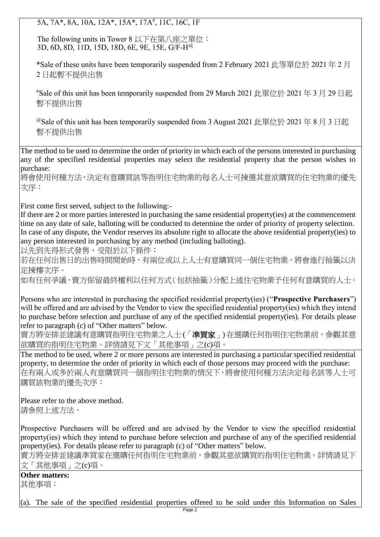5A, 7A\*, 8A, 10A, 12A\*, 15A\*, 17A<sup>#</sup>, 11C, 16C, 1F

The following units in Tower 8 以下在第八座之單位: 3D, 6D, 8D, 11D, 15D, 18D, 6E, 9E, 15E, G/F-H<sup>@</sup>

\*Sale of these units have been temporarily suspended from 2 February 2021 �� 單位於 2021 年 2 月 2 日起暫不提供出售

<sup>#</sup>Sale of this unit has been temporarily suspended from 29 March 2021 此單位於 2021 年 3 月 29 日起 暫不提供出售

@Sale of this unit has been temporarily suspended from 3 August 2021 此單位於 2021 年 8 月 3 日起 暫不提供出售

The method to be used to determine the order of priority in which each of the persons interested in purchasing any of the specified residential properties may select the residential property that the person wishes to purchase:

將會使用何種方法,決定有意購買該等指明住宅物業的每名人士可揀選其意欲購買的住宅物業的優先 次序:

First come first served, subject to the following:-

If there are 2 or more parties interested in purchasing the same residential property(ies) at the commencement time on any date of sale, balloting will be conducted to determine the order of priority of property selection. In case of any dispute, the Vendor reserves its absolute right to allocate the above residential property(ies) to any person interested in purchasing by any method (including balloting).

以先到先得形式發售,受限於以下條件:

若在任何出售日的出售時間開始時,有兩位或以上人士有意購買同一個住宅物業,將會進行抽籤以決 定揀樓次序。

如有任何爭議,賣方保留最終權利以任何方式(包括抽籤)分配上述住宅物業予任何有意購買的人士。

Persons who are interested in purchasing the specified residential property(ies) ("**Prospective Purchasers**") will be offered and are advised by the Vendor to view the specified residential property(ies) which they intend to purchase before selection and purchase of any of the specified residential property(ies). For details please refer to paragraph (c) of "Other matters" below.

賣方將安排並建議有意購買指明住宅物業之人士(「準買家」)在選購任何指明住宅物業前,參觀其意 欲購買的指明住宅物業。詳情請見下文「其他事項」之(c)項。

The method to be used, where 2 or more persons are interested in purchasing a particular specified residential property, to determine the order of priority in which each of those persons may proceed with the purchase: 在有兩人或多於兩人有意購買同一個指明住宅物業的情況下,將會使用何種方法決定每名該等人士可 購買該物業的優先次序:

Please refer to the above method. 請參照上述方法。

Prospective Purchasers will be offered and are advised by the Vendor to view the specified residential property(ies) which they intend to purchase before selection and purchase of any of the specified residential property(ies). For details please refer to paragraph (c) of "Other matters" below.

賣方將安排並建議準買家在選購任何指明住宅物業前,參觀其意欲購買的指明住宅物業。詳情請見下 文「其他事項」之(c)項。

**Other matters:** 其他事項:

(a). The sale of the specified residential properties offered to be sold under this Information on Sales